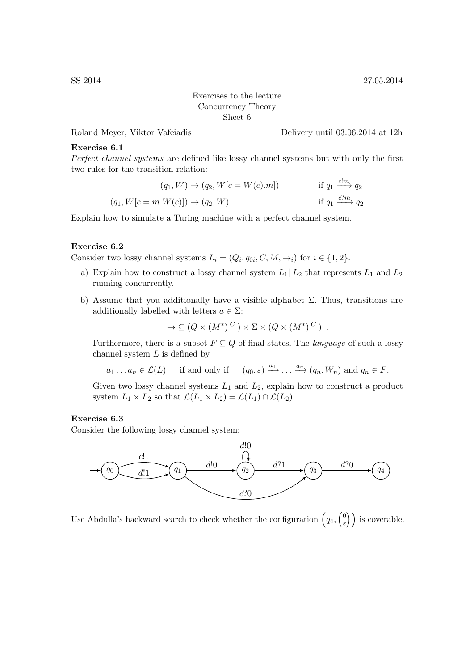Exercises to the lecture Concurrency Theory Sheet 6

Roland Meyer, Viktor Vafeiadis Delivery until 03.06.2014 at 12h

## Exercise 6.1

Perfect channel systems are defined like lossy channel systems but with only the first two rules for the transition relation:

(q1, W) → (q2, W[c = W(c).m]) if q<sup>1</sup> <sup>c</sup>!m−−→ <sup>q</sup><sup>2</sup> (q1, W[c = m.W(c)]) → (q2, W) if q<sup>1</sup> <sup>c</sup>?<sup>m</sup> −−→ <sup>q</sup><sup>2</sup>

Explain how to simulate a Turing machine with a perfect channel system.

## Exercise 6.2

Consider two lossy channel systems  $L_i = (Q_i, q_{0i}, C, M, \rightarrow_i)$  for  $i \in \{1, 2\}.$ 

- a) Explain how to construct a lossy channel system  $L_1||L_2$  that represents  $L_1$  and  $L_2$ running concurrently.
- b) Assume that you additionally have a visible alphabet  $\Sigma$ . Thus, transitions are additionally labelled with letters  $a \in \Sigma$ :

$$
\to \subseteq (Q \times (M^*)^{|C|}) \times \Sigma \times (Q \times (M^*)^{|C|}) \ .
$$

Furthermore, there is a subset  $F \subseteq Q$  of final states. The *language* of such a lossy channel system  $L$  is defined by

 $a_1 \dots a_n \in \mathcal{L}(L)$  if and only if  $(q_0, \varepsilon) \xrightarrow{a_1} \dots \xrightarrow{a_n} (q_n, W_n)$  and  $q_n \in F$ .

Given two lossy channel systems  $L_1$  and  $L_2$ , explain how to construct a product system  $L_1 \times L_2$  so that  $\mathcal{L}(L_1 \times L_2) = \mathcal{L}(L_1) \cap \mathcal{L}(L_2)$ .

## Exercise 6.3

Consider the following lossy channel system:



Use Abdulla's backward search to check whether the configuration  $\left(q_4, \begin{pmatrix} 0 \\ \epsilon \end{pmatrix}\right)$  $\binom{0}{\varepsilon}$  is coverable.